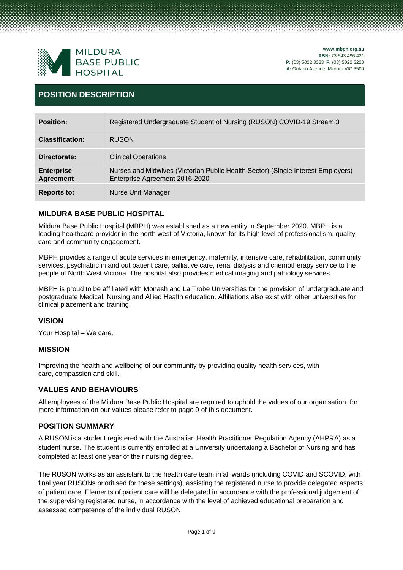

**[www.mbph.org.au](http://www.mbph.org.au/) ABN:** 73 543 496 421 **P:** (03) 5022 3333 **F:** (03) 5022 3228 **A:** Ontario Avenue, Mildura VIC 3500

### **POSITION DESCRIPTION**

| <b>Position:</b>                      | Registered Undergraduate Student of Nursing (RUSON) COVID-19 Stream 3                                              |
|---------------------------------------|--------------------------------------------------------------------------------------------------------------------|
| <b>Classification:</b>                | <b>RUSON</b>                                                                                                       |
| Directorate:                          | <b>Clinical Operations</b>                                                                                         |
| <b>Enterprise</b><br><b>Agreement</b> | Nurses and Midwives (Victorian Public Health Sector) (Single Interest Employers)<br>Enterprise Agreement 2016-2020 |
| <b>Reports to:</b>                    | <b>Nurse Unit Manager</b>                                                                                          |

### **MILDURA BASE PUBLIC HOSPITAL**

Mildura Base Public Hospital (MBPH) was established as a new entity in September 2020. MBPH is a leading healthcare provider in the north west of Victoria, known for its high level of professionalism, quality care and community engagement.

MBPH provides a range of acute services in emergency, maternity, intensive care, rehabilitation, community services, psychiatric in and out patient care, palliative care, renal dialysis and chemotherapy service to the people of North West Victoria. The hospital also provides medical imaging and pathology services.

MBPH is proud to be affiliated with Monash and La Trobe Universities for the provision of undergraduate and postgraduate Medical, Nursing and Allied Health education. Affiliations also exist with other universities for clinical placement and training.

### **VISION**

Your Hospital – We care.

### **MISSION**

Improving the health and wellbeing of our community by providing quality health services, with care, compassion and skill.

### **VALUES AND BEHAVIOURS**

All employees of the Mildura Base Public Hospital are required to uphold the values of our organisation, for more information on our values please refer to page 9 of this document.

### **POSITION SUMMARY**

A RUSON is a student registered with the Australian Health Practitioner Regulation Agency (AHPRA) as a student nurse. The student is currently enrolled at a University undertaking a Bachelor of Nursing and has completed at least one year of their nursing degree.

The RUSON works as an assistant to the health care team in all wards (including COVID and SCOVID, with final year RUSONs prioritised for these settings), assisting the registered nurse to provide delegated aspects of patient care. Elements of patient care will be delegated in accordance with the professional judgement of the supervising registered nurse, in accordance with the level of achieved educational preparation and assessed competence of the individual RUSON.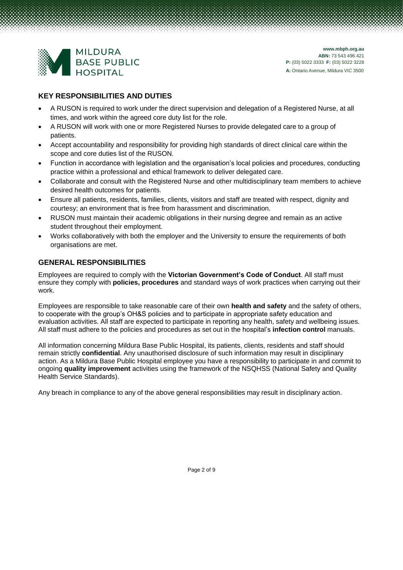

### **KEY RESPONSIBILITIES AND DUTIES**

- A RUSON is required to work under the direct supervision and delegation of a Registered Nurse, at all times, and work within the agreed core duty list for the role.
- A RUSON will work with one or more Registered Nurses to provide delegated care to a group of patients.
- Accept accountability and responsibility for providing high standards of direct clinical care within the scope and core duties list of the RUSON.
- Function in accordance with legislation and the organisation's local policies and procedures, conducting practice within a professional and ethical framework to deliver delegated care.
- Collaborate and consult with the Registered Nurse and other multidisciplinary team members to achieve desired health outcomes for patients.
- Ensure all patients, residents, families, clients, visitors and staff are treated with respect, dignity and courtesy; an environment that is free from harassment and discrimination.
- RUSON must maintain their academic obligations in their nursing degree and remain as an active student throughout their employment.
- Works collaboratively with both the employer and the University to ensure the requirements of both organisations are met.

### **GENERAL RESPONSIBILITIES**

Employees are required to comply with the **Victorian Government's Code of Conduct**. All staff must ensure they comply with **policies, procedures** and standard ways of work practices when carrying out their work.

Employees are responsible to take reasonable care of their own **health and safety** and the safety of others, to cooperate with the group's OH&S policies and to participate in appropriate safety education and evaluation activities. All staff are expected to participate in reporting any health, safety and wellbeing issues. All staff must adhere to the policies and procedures as set out in the hospital's **infection control** manuals.

All information concerning Mildura Base Public Hospital, its patients, clients, residents and staff should remain strictly **confidential**. Any unauthorised disclosure of such information may result in disciplinary action. As a Mildura Base Public Hospital employee you have a responsibility to participate in and commit to ongoing **quality improvement** activities using the framework of the NSQHSS (National Safety and Quality Health Service Standards).

Any breach in compliance to any of the above general responsibilities may result in disciplinary action.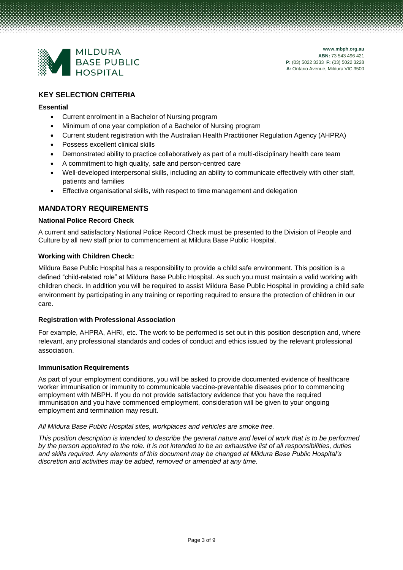

### **KEY SELECTION CRITERIA**

### **Essential**

- Current enrolment in a Bachelor of Nursing program
- Minimum of one year completion of a Bachelor of Nursing program
- Current student registration with the Australian Health Practitioner Regulation Agency (AHPRA)
- Possess excellent clinical skills
- Demonstrated ability to practice collaboratively as part of a multi-disciplinary health care team
- A commitment to high quality, safe and person-centred care
- Well-developed interpersonal skills, including an ability to communicate effectively with other staff, patients and families
- Effective organisational skills, with respect to time management and delegation

### **MANDATORY REQUIREMENTS**

### **National Police Record Check**

A current and satisfactory National Police Record Check must be presented to the Division of People and Culture by all new staff prior to commencement at Mildura Base Public Hospital.

### **Working with Children Check:**

Mildura Base Public Hospital has a responsibility to provide a child safe environment. This position is a defined "child-related role" at Mildura Base Public Hospital. As such you must maintain a valid working with children check. In addition you will be required to assist Mildura Base Public Hospital in providing a child safe environment by participating in any training or reporting required to ensure the protection of children in our care.

### **Registration with Professional Association**

For example, AHPRA, AHRI, etc. The work to be performed is set out in this position description and, where relevant, any professional standards and codes of conduct and ethics issued by the relevant professional association.

### **Immunisation Requirements**

As part of your employment conditions, you will be asked to provide documented evidence of healthcare worker immunisation or immunity to communicable vaccine-preventable diseases prior to commencing employment with MBPH. If you do not provide satisfactory evidence that you have the required immunisation and you have commenced employment, consideration will be given to your ongoing employment and termination may result.

### *All Mildura Base Public Hospital sites, workplaces and vehicles are smoke free.*

*This position description is intended to describe the general nature and level of work that is to be performed by the person appointed to the role. It is not intended to be an exhaustive list of all responsibilities, duties and skills required. Any elements of this document may be changed at Mildura Base Public Hospital's discretion and activities may be added, removed or amended at any time.*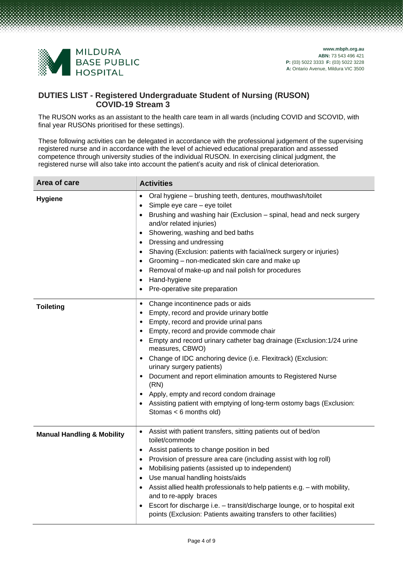

### **DUTIES LIST - Registered Undergraduate Student of Nursing (RUSON) COVID-19 Stream 3**

The RUSON works as an assistant to the health care team in all wards (including COVID and SCOVID, with final year RUSONs prioritised for these settings).

These following activities can be delegated in accordance with the professional judgement of the supervising registered nurse and in accordance with the level of achieved educational preparation and assessed competence through university studies of the individual RUSON. In exercising clinical judgment, the registered nurse will also take into account the patient's acuity and risk of clinical deterioration.

| Area of care                          | <b>Activities</b>                                                                                                                                                                                                                                                                                                                                                                                                                                                                                                                                                                                                       |
|---------------------------------------|-------------------------------------------------------------------------------------------------------------------------------------------------------------------------------------------------------------------------------------------------------------------------------------------------------------------------------------------------------------------------------------------------------------------------------------------------------------------------------------------------------------------------------------------------------------------------------------------------------------------------|
| <b>Hygiene</b>                        | Oral hygiene - brushing teeth, dentures, mouthwash/toilet<br>$\bullet$<br>Simple eye care - eye toilet<br>$\bullet$<br>Brushing and washing hair (Exclusion - spinal, head and neck surgery<br>$\bullet$<br>and/or related injuries)<br>Showering, washing and bed baths<br>$\bullet$<br>Dressing and undressing<br>$\bullet$<br>Shaving (Exclusion: patients with facial/neck surgery or injuries)<br>$\bullet$<br>Grooming – non-medicated skin care and make up<br>٠<br>Removal of make-up and nail polish for procedures<br>$\bullet$<br>Hand-hygiene<br>٠<br>Pre-operative site preparation                        |
| <b>Toileting</b>                      | Change incontinence pads or aids<br>$\bullet$<br>Empty, record and provide urinary bottle<br>٠<br>Empty, record and provide urinal pans<br>٠<br>Empty, record and provide commode chair<br>Empty and record urinary catheter bag drainage (Exclusion:1/24 urine<br>measures, CBWO)<br>Change of IDC anchoring device (i.e. Flexitrack) (Exclusion:<br>٠<br>urinary surgery patients)<br>Document and report elimination amounts to Registered Nurse<br>$\bullet$<br>(RN)<br>Apply, empty and record condom drainage<br>Assisting patient with emptying of long-term ostomy bags (Exclusion:<br>Stomas $< 6$ months old) |
| <b>Manual Handling &amp; Mobility</b> | Assist with patient transfers, sitting patients out of bed/on<br>toilet/commode<br>Assist patients to change position in bed<br>$\bullet$<br>Provision of pressure area care (including assist with log roll)<br>$\bullet$<br>Mobilising patients (assisted up to independent)<br>$\bullet$<br>Use manual handling hoists/aids<br>$\bullet$<br>Assist allied health professionals to help patients e.g. - with mobility,<br>and to re-apply braces<br>Escort for discharge i.e. - transit/discharge lounge, or to hospital exit<br>points (Exclusion: Patients awaiting transfers to other facilities)                  |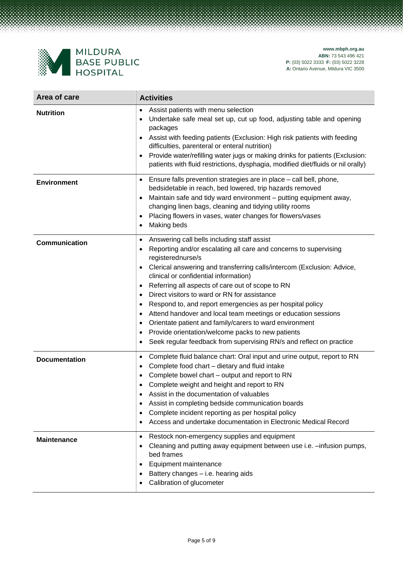

| Area of care         | <b>Activities</b>                                                                                                                                                                                                                                                                                                                                                                                                                                                                                                                                                                                                                                                                                                                                                                                  |
|----------------------|----------------------------------------------------------------------------------------------------------------------------------------------------------------------------------------------------------------------------------------------------------------------------------------------------------------------------------------------------------------------------------------------------------------------------------------------------------------------------------------------------------------------------------------------------------------------------------------------------------------------------------------------------------------------------------------------------------------------------------------------------------------------------------------------------|
| <b>Nutrition</b>     | Assist patients with menu selection<br>$\bullet$<br>Undertake safe meal set up, cut up food, adjusting table and opening<br>packages<br>Assist with feeding patients (Exclusion: High risk patients with feeding<br>$\bullet$<br>difficulties, parenteral or enteral nutrition)<br>Provide water/refilling water jugs or making drinks for patients (Exclusion:<br>$\bullet$<br>patients with fluid restrictions, dysphagia, modified diet/fluids or nil orally)                                                                                                                                                                                                                                                                                                                                   |
| <b>Environment</b>   | Ensure falls prevention strategies are in place - call bell, phone,<br>$\bullet$<br>bedsidetable in reach, bed lowered, trip hazards removed<br>Maintain safe and tidy ward environment - putting equipment away,<br>$\bullet$<br>changing linen bags, cleaning and tidying utility rooms<br>Placing flowers in vases, water changes for flowers/vases<br>$\bullet$<br>Making beds<br>$\bullet$                                                                                                                                                                                                                                                                                                                                                                                                    |
| Communication        | Answering call bells including staff assist<br>$\bullet$<br>Reporting and/or escalating all care and concerns to supervising<br>$\bullet$<br>registerednurse/s<br>Clerical answering and transferring calls/intercom (Exclusion: Advice,<br>$\bullet$<br>clinical or confidential information)<br>Referring all aspects of care out of scope to RN<br>٠<br>Direct visitors to ward or RN for assistance<br>$\bullet$<br>Respond to, and report emergencies as per hospital policy<br>$\bullet$<br>Attend handover and local team meetings or education sessions<br>$\bullet$<br>Orientate patient and family/carers to ward environment<br>$\bullet$<br>Provide orientation/welcome packs to new patients<br>٠<br>Seek regular feedback from supervising RN/s and reflect on practice<br>$\bullet$ |
| <b>Documentation</b> | Complete fluid balance chart: Oral input and urine output, report to RN<br>$\bullet$<br>Complete food chart - dietary and fluid intake<br>$\bullet$<br>Complete bowel chart - output and report to RN<br>$\bullet$<br>Complete weight and height and report to RN<br>$\bullet$<br>Assist in the documentation of valuables<br>٠<br>Assist in completing bedside communication boards<br>$\bullet$<br>Complete incident reporting as per hospital policy<br>$\bullet$<br>Access and undertake documentation in Electronic Medical Record<br>$\bullet$                                                                                                                                                                                                                                               |
| <b>Maintenance</b>   | Restock non-emergency supplies and equipment<br>$\bullet$<br>Cleaning and putting away equipment between use i.e. -infusion pumps,<br>bed frames<br>Equipment maintenance<br>٠<br>Battery changes - i.e. hearing aids<br>Calibration of glucometer                                                                                                                                                                                                                                                                                                                                                                                                                                                                                                                                                 |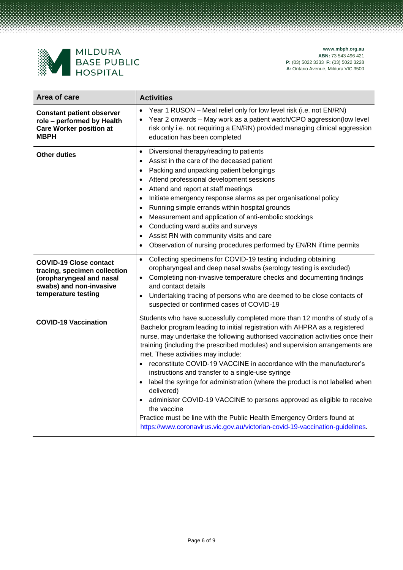

| Area of care                                                                                                                                | <b>Activities</b>                                                                                                                                                                                                                                                                                                                                                                                                                                                                                                                                                                                                                                                                                                                                                                                                                                |
|---------------------------------------------------------------------------------------------------------------------------------------------|--------------------------------------------------------------------------------------------------------------------------------------------------------------------------------------------------------------------------------------------------------------------------------------------------------------------------------------------------------------------------------------------------------------------------------------------------------------------------------------------------------------------------------------------------------------------------------------------------------------------------------------------------------------------------------------------------------------------------------------------------------------------------------------------------------------------------------------------------|
| <b>Constant patient observer</b><br>role - performed by Health<br><b>Care Worker position at</b><br><b>MBPH</b>                             | Year 1 RUSON - Meal relief only for low level risk (i.e. not EN/RN)<br>Year 2 onwards - May work as a patient watch/CPO aggression(low level<br>$\bullet$<br>risk only i.e. not requiring a EN/RN) provided managing clinical aggression<br>education has been completed                                                                                                                                                                                                                                                                                                                                                                                                                                                                                                                                                                         |
| <b>Other duties</b>                                                                                                                         | Diversional therapy/reading to patients<br>$\bullet$<br>Assist in the care of the deceased patient<br>$\bullet$<br>Packing and unpacking patient belongings<br>$\bullet$<br>Attend professional development sessions<br>$\bullet$<br>Attend and report at staff meetings<br>$\bullet$<br>Initiate emergency response alarms as per organisational policy<br>$\bullet$<br>Running simple errands within hospital grounds<br>$\bullet$<br>Measurement and application of anti-embolic stockings<br>$\bullet$<br>Conducting ward audits and surveys<br>$\bullet$<br>Assist RN with community visits and care<br>$\bullet$<br>Observation of nursing procedures performed by EN/RN if time permits                                                                                                                                                   |
| <b>COVID-19 Close contact</b><br>tracing, specimen collection<br>(oropharyngeal and nasal<br>swabs) and non-invasive<br>temperature testing | Collecting specimens for COVID-19 testing including obtaining<br>$\bullet$<br>oropharyngeal and deep nasal swabs (serology testing is excluded)<br>Completing non-invasive temperature checks and documenting findings<br>and contact details<br>Undertaking tracing of persons who are deemed to be close contacts of<br>suspected or confirmed cases of COVID-19                                                                                                                                                                                                                                                                                                                                                                                                                                                                               |
| <b>COVID-19 Vaccination</b>                                                                                                                 | Students who have successfully completed more than 12 months of study of a<br>Bachelor program leading to initial registration with AHPRA as a registered<br>nurse, may undertake the following authorised vaccination activities once their<br>training (including the prescribed modules) and supervision arrangements are<br>met. These activities may include:<br>reconstitute COVID-19 VACCINE in accordance with the manufacturer's<br>instructions and transfer to a single-use syringe<br>label the syringe for administration (where the product is not labelled when<br>delivered)<br>administer COVID-19 VACCINE to persons approved as eligible to receive<br>the vaccine<br>Practice must be line with the Public Health Emergency Orders found at<br>https://www.coronavirus.vic.gov.au/victorian-covid-19-vaccination-guidelines. |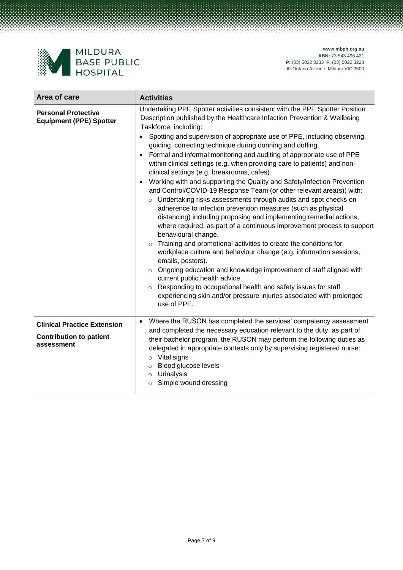

| Area of care                                                                       | <b>Activities</b>                                                                                                                                                                                                                                                                                                                                                                                                                                                                                                                                                                                                                                                                                                                                                                                                                                                                                                                                                                                                                                                                                                                                                                                                                                                                                                                                                                                                                                          |
|------------------------------------------------------------------------------------|------------------------------------------------------------------------------------------------------------------------------------------------------------------------------------------------------------------------------------------------------------------------------------------------------------------------------------------------------------------------------------------------------------------------------------------------------------------------------------------------------------------------------------------------------------------------------------------------------------------------------------------------------------------------------------------------------------------------------------------------------------------------------------------------------------------------------------------------------------------------------------------------------------------------------------------------------------------------------------------------------------------------------------------------------------------------------------------------------------------------------------------------------------------------------------------------------------------------------------------------------------------------------------------------------------------------------------------------------------------------------------------------------------------------------------------------------------|
| <b>Personal Protective</b><br><b>Equipment (PPE) Spotter</b>                       | Undertaking PPE Spotter activities consistent with the PPE Spotter Position<br>Description published by the Healthcare Infection Prevention & Wellbeing<br>Taskforce, including:<br>Spotting and supervision of appropriate use of PPE, including observing,<br>guiding, correcting technique during donning and doffing.<br>Formal and informal monitoring and auditing of appropriate use of PPE<br>within clinical settings (e.g. when providing care to patients) and non-<br>clinical settings (e.g. breakrooms, cafes).<br>Working with and supporting the Quality and Safety/Infection Prevention<br>and Control/COVID-19 Response Team (or other relevant area(s)) with:<br>o Undertaking risks assessments through audits and spot checks on<br>adherence to infection prevention measures (such as physical<br>distancing) including proposing and implementing remedial actions,<br>where required, as part of a continuous improvement process to support<br>behavioural change.<br>Training and promotional activities to create the conditions for<br>$\circ$<br>workplace culture and behaviour change (e.g. information sessions,<br>emails, posters).<br>Ongoing education and knowledge improvement of staff aligned with<br>$\circ$<br>current public health advice.<br>Responding to occupational health and safety issues for staff<br>$\circ$<br>experiencing skin and/or pressure injuries associated with prolonged<br>use of PPE. |
| <b>Clinical Practice Extension</b><br><b>Contribution to patient</b><br>assessment | Where the RUSON has completed the services' competency assessment<br>and completed the necessary education relevant to the duty, as part of<br>their bachelor program, the RUSON may perform the following duties as<br>delegated in appropriate contexts only by supervising registered nurse:<br>Vital signs<br>$\circ$<br>Blood glucose levels<br>$\circ$<br>Urinalysis<br>$\circ$<br>Simple wound dressing<br>$\circ$                                                                                                                                                                                                                                                                                                                                                                                                                                                                                                                                                                                                                                                                                                                                                                                                                                                                                                                                                                                                                                  |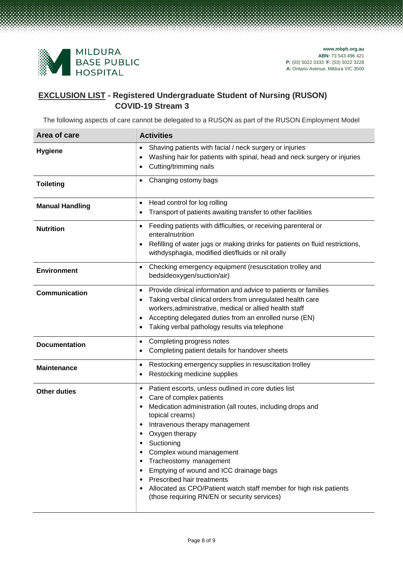

### **EXCLUSION LIST - Registered Undergraduate Student of Nursing (RUSON) COVID-19 Stream 3**

The following aspects of care cannot be delegated to a RUSON as part of the RUSON Employment Model

| Area of care           | <b>Activities</b>                                                                                                                                                                                                                                                                                                                                                                                                                                                                                                                                                   |
|------------------------|---------------------------------------------------------------------------------------------------------------------------------------------------------------------------------------------------------------------------------------------------------------------------------------------------------------------------------------------------------------------------------------------------------------------------------------------------------------------------------------------------------------------------------------------------------------------|
| <b>Hygiene</b>         | Shaving patients with facial / neck surgery or injuries<br>$\bullet$<br>Washing hair for patients with spinal, head and neck surgery or injuries<br>$\bullet$<br>Cutting/trimming nails<br>$\bullet$                                                                                                                                                                                                                                                                                                                                                                |
| <b>Toileting</b>       | Changing ostomy bags<br>$\bullet$                                                                                                                                                                                                                                                                                                                                                                                                                                                                                                                                   |
| <b>Manual Handling</b> | Head control for log rolling<br>$\bullet$<br>Transport of patients awaiting transfer to other facilities<br>$\bullet$                                                                                                                                                                                                                                                                                                                                                                                                                                               |
| <b>Nutrition</b>       | Feeding patients with difficulties, or receiving parenteral or<br>$\bullet$<br>enteralnutrition<br>Refilling of water jugs or making drinks for patients on fluid restrictions,<br>$\bullet$<br>withdysphagia, modified diet/fluids or nil orally                                                                                                                                                                                                                                                                                                                   |
| <b>Environment</b>     | Checking emergency equipment (resuscitation trolley and<br>$\bullet$<br>bedsideoxygen/suction/air)                                                                                                                                                                                                                                                                                                                                                                                                                                                                  |
| <b>Communication</b>   | Provide clinical information and advice to patients or families<br>$\bullet$<br>Taking verbal clinical orders from unregulated health care<br>$\bullet$<br>workers, administrative, medical or allied health staff<br>Accepting delegated duties from an enrolled nurse (EN)<br>$\bullet$<br>Taking verbal pathology results via telephone<br>$\bullet$                                                                                                                                                                                                             |
| <b>Documentation</b>   | Completing progress notes<br>$\bullet$<br>Completing patient details for handover sheets<br>$\bullet$                                                                                                                                                                                                                                                                                                                                                                                                                                                               |
| <b>Maintenance</b>     | Restocking emergency supplies in resuscitation trolley<br>$\bullet$<br>Restocking medicine supplies<br>$\bullet$                                                                                                                                                                                                                                                                                                                                                                                                                                                    |
| <b>Other duties</b>    | Patient escorts, unless outlined in core duties list<br>$\bullet$<br>Care of complex patients<br>٠<br>Medication administration (all routes, including drops and<br>٠<br>topical creams)<br>Intravenous therapy management<br>$\bullet$<br>Oxygen therapy<br>Suctioning<br>$\bullet$<br>Complex wound management<br>٠<br>Tracheostomy management<br>٠<br>Emptying of wound and ICC drainage bags<br>٠<br>Prescribed hair treatments<br>٠<br>Allocated as CPO/Patient watch staff member for high risk patients<br>٠<br>(those requiring RN/EN or security services) |